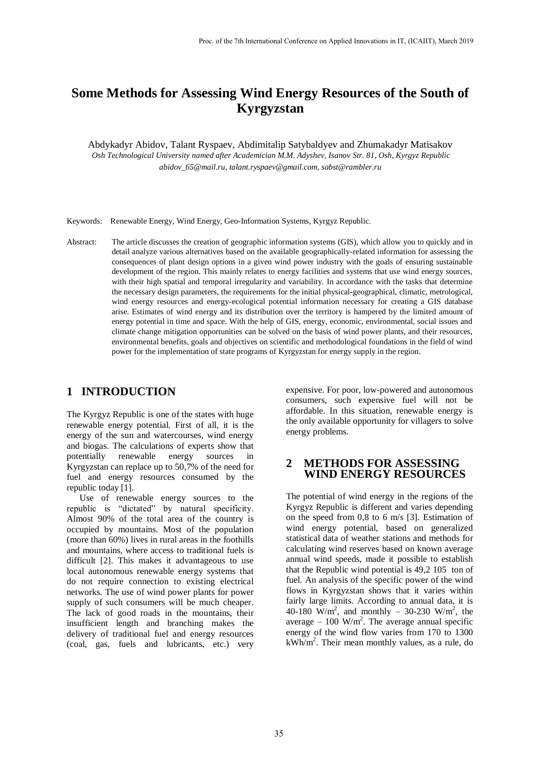# **Some Methods for Assessing Wind Energy Resources of the South of Kyrgyzstan**

Abdykadyr Abidov, Talant Ryspaev, Abdimitalip Satybaldyev and Zhumakadyr Matisakov *Osh Technological University named after Academician M.M. Adyshev, Isanov Str. 81, Osh, Kyrgyz Republic abidov\_65@mail.ru, talant.ryspaev@gmail.com, sabst@rambler.ru*

Keywords: Renewable Energy, Wind Energy, Geo-Information Systems, Kyrgyz Republic.

Abstract: The article discusses the creation of geographic information systems (GIS), which allow you to quickly and in detail analyze various alternatives based on the available geographically-related information for assessing the consequences of plant design options in a given wind power industry with the goals of ensuring sustainable development of the region. This mainly relates to energy facilities and systems that use wind energy sources, with their high spatial and temporal irregularity and variability. In accordance with the tasks that determine the necessary design parameters, the requirements for the initial physical-geographical, climatic, metrological, wind energy resources and energy-ecological potential information necessary for creating a GIS database arise. Estimates of wind energy and its distribution over the territory is hampered by the limited amount of energy potential in time and space. With the help of GIS, energy, economic, environmental, social issues and climate change mitigation opportunities can be solved on the basis of wind power plants, and their resources, environmental benefits, goals and objectives on scientific and methodological foundations in the field of wind power for the implementation of state programs of Kyrgyzstan for energy supply in the region.

## **1 INTRODUCTION**

The Kyrgyz Republic is one of the states with huge renewable energy potential. First of all, it is the energy of the sun and watercourses, wind energy and biogas. The calculations of experts show that potentially renewable energy sources in Kyrgyzstan can replace up to 50,7% of the need for fuel and energy resources consumed by the republic today [1].

Use of renewable energy sources to the republic is "dictated" by natural specificity. Almost 90% of the total area of the country is occupied by mountains. Most of the population (more than 60%) lives in rural areas in the foothills and mountains, where access to traditional fuels is difficult [2]. This makes it advantageous to use local autonomous renewable energy systems that do not require connection to existing electrical networks. The use of wind power plants for power supply of such consumers will be much cheaper. The lack of good roads in the mountains, their insufficient length and branching makes the delivery of traditional fuel and energy resources (coal, gas, fuels and lubricants, etc.) very

expensive. For poor, low-powered and autonomous consumers, such expensive fuel will not be affordable. In this situation, renewable energy is the only available opportunity for villagers to solve energy problems.

#### **2 METHODS FOR ASSESSING WIND ENERGY RESOURCES**

The potential of wind energy in the regions of the Kyrgyz Republic is different and varies depending on the speed from 0,8 to 6 m/s [3]. Estimation of wind energy potential, based on generalized statistical data of weather stations and methods for calculating wind reserves based on known average annual wind speeds, made it possible to establish that the Republic wind potential is 49,2 105 ton of fuel. An analysis of the specific power of the wind flows in Kyrgyzstan shows that it varies within fairly large limits. According to annual data, it is 40-180 W/m<sup>2</sup>, and monthly – 30-230 W/m<sup>2</sup>, the average  $-100 \text{ W/m}^2$ . The average annual specific energy of the wind flow varies from 170 to 1300  $kWh/m<sup>2</sup>$ . Their mean monthly values, as a rule, do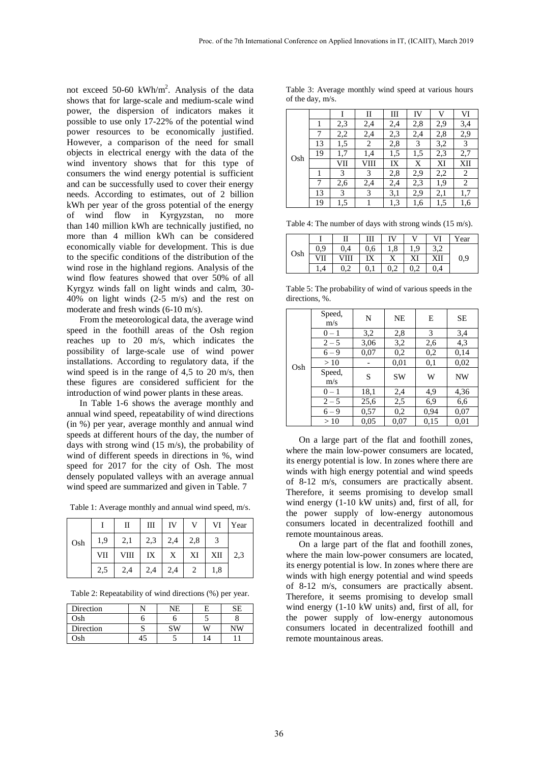not exceed 50-60 kWh/m<sup>2</sup>. Analysis of the data shows that for large-scale and medium-scale wind power, the dispersion of indicators makes it possible to use only 17-22% of the potential wind power resources to be economically justified. However, a comparison of the need for small objects in electrical energy with the data of the wind inventory shows that for this type of consumers the wind energy potential is sufficient and can be successfully used to cover their energy needs. According to estimates, out of 2 billion kWh per year of the gross potential of the energy of wind flow in Kyrgyzstan, no more than 140 million kWh are technically justified, no more than 4 million kWh can be considered economically viable for development. This is due to the specific conditions of the distribution of the wind rose in the highland regions. Analysis of the wind flow features showed that over 50% of all Kyrgyz winds fall on light winds and calm, 30- 40% on light winds (2-5 m/s) and the rest on moderate and fresh winds (6-10 m/s).

From the meteorological data, the average wind speed in the foothill areas of the Osh region reaches up to 20 m/s, which indicates the possibility of large-scale use of wind power installations. According to regulatory data, if the wind speed is in the range of 4,5 to 20 m/s, then these figures are considered sufficient for the introduction of wind power plants in these areas.

In Table 1-6 shows the average monthly and annual wind speed, repeatability of wind directions (in %) per year, average monthly and annual wind speeds at different hours of the day, the number of days with strong wind (15 m/s), the probability of wind of different speeds in directions in %, wind speed for 2017 for the city of Osh. The most densely populated valleys with an average annual wind speed are summarized and given in Table. 7

|     |     | П    | Ш   | IV  | v   | VI  | Year |
|-----|-----|------|-----|-----|-----|-----|------|
| Osh | 1.9 | 2,1  | 2,3 | 2,4 | 2,8 |     |      |
|     | VII | VIII | IX  | X   | XI  | XII | 2.3  |
|     | 2,5 | 2,4  | 2,4 | 2,4 |     | 1,8 |      |

Table 2: Repeatability of wind directions (%) per year.

| Direction | NE |   | SE |
|-----------|----|---|----|
| Osh       |    |   |    |
| Direction | cи | W | NW |
| )sh       |    |   |    |

Table 3: Average monthly wind speed at various hours of the day, m/s.

|     |    |     | П    | Ш   | IV  | V   | VI  |
|-----|----|-----|------|-----|-----|-----|-----|
|     |    | 2,3 | 2,4  | 2,4 | 2,8 | 2,9 | 3,4 |
|     |    | 2,2 | 2,4  | 2,3 | 2,4 | 2,8 | 2,9 |
|     | 13 | 1,5 | 2    | 2,8 | 3   | 3,2 | 3   |
| Osh | 19 | 1,7 | 1,4  | 1,5 | 1,5 | 2,3 | 2,7 |
|     |    | VІІ | VIII | IX  | X   | XI  | XII |
|     |    | 3   | 3    | 2,8 | 2,9 | 2,2 | 2   |
|     |    | 2,6 | 2,4  | 2,4 | 2,3 | 1,9 | 2   |
|     | 13 | 3   | 3    | 3,1 | 2,9 | 2,1 | 1,7 |
|     | 19 | 1,5 |      | 1,3 | 1,6 | 1,5 | 1,6 |

Table 4: The number of days with strong winds (15 m/s).

| Osh |     | П    | Ш   | IV  | v |     | Year |
|-----|-----|------|-----|-----|---|-----|------|
|     | 0.9 | 0.4  | 0.6 | 1,8 | Q |     |      |
|     | ۷Ļ  | VIII |     |     |   | XII | 0,9  |
|     |     |      |     | 0,2 |   | 0,4 |      |

Table 5: The probability of wind of various speeds in the directions, %.

|     | Speed,<br>m/s | N    | NE        | E    | SЕ        |
|-----|---------------|------|-----------|------|-----------|
|     | $0 - 1$       | 3,2  | 2,8       | 3    | 3,4       |
|     | $2 - 5$       | 3,06 | 3,2       | 2,6  | 4,3       |
|     | $6 - 9$       | 0,07 | 0,2       | 0,2  | 0,14      |
| Osh | >10           |      | 0,01      | 0,1  | 0,02      |
|     | Speed,<br>m/s | S    | <b>SW</b> | W    | <b>NW</b> |
|     | $0 - 1$       | 18,1 | 2,4       | 4,9  | 4,36      |
|     | $2 - 5$       | 25,6 | 2,5       | 6.9  | 6,6       |
|     | $6 - 9$       | 0,57 | 0,2       | 0.94 | 0,07      |
|     | >10           | 0,05 | 0,07      | 0,15 | 0,01      |

On a large part of the flat and foothill zones, where the main low-power consumers are located, its energy potential is low. In zones where there are winds with high energy potential and wind speeds of 8-12 m/s, consumers are practically absent. Therefore, it seems promising to develop small wind energy (1-10 kW units) and, first of all, for the power supply of low-energy autonomous consumers located in decentralized foothill and remote mountainous areas.

On a large part of the flat and foothill zones, where the main low-power consumers are located, its energy potential is low. In zones where there are winds with high energy potential and wind speeds of 8-12 m/s, consumers are practically absent. Therefore, it seems promising to develop small wind energy (1-10 kW units) and, first of all, for the power supply of low-energy autonomous consumers located in decentralized foothill and remote mountainous areas.